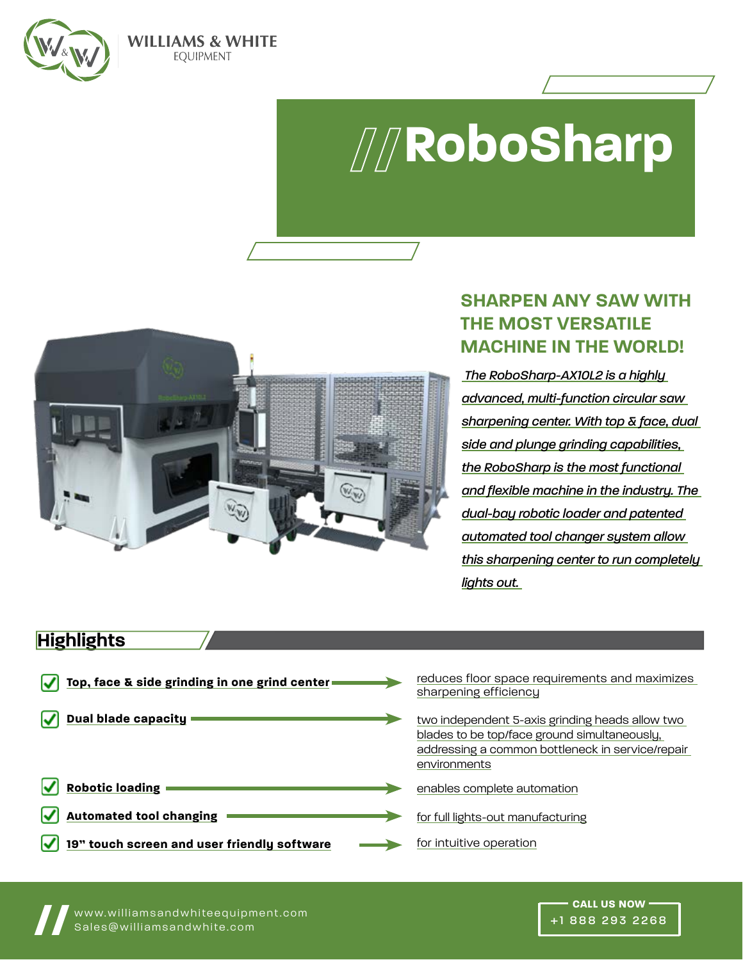

#### **WILLIAMS & WHITE EQUIPMENT**

# **RoboSharp**



## **SHARPEN ANY SAW WITH THE MOST VERSATILE MACHINE IN THE WORLD!**

 *The RoboSharp-AX10L2 is a highly advanced, multi-function circular saw sharpening center. With top & face, dual side and plunge grinding capabilities, the RoboSharp is the most functional and flexible machine in the industry. The dual-bay robotic loader and patented automated tool changer system allow this sharpening center to run completely lights out.* 

## **Highlights**

| Top, face & side grinding in one grind center | reduces floor space requirements and maximizes<br>sharpening efficiency                                                                                             |
|-----------------------------------------------|---------------------------------------------------------------------------------------------------------------------------------------------------------------------|
| <b>Dual blade capacity</b>                    | two independent 5-axis grinding heads allow two<br>blades to be top/face ground simultaneously,<br>addressing a common bottleneck in service/repair<br>environments |
| <b>Robotic loading</b>                        | enables complete automation                                                                                                                                         |
| <b>Automated tool changing</b>                | for full lights-out manufacturing                                                                                                                                   |
| 19" touch screen and user friendly software   | for intuitive operation                                                                                                                                             |



**TOLL FREE: 1-888-293-2268**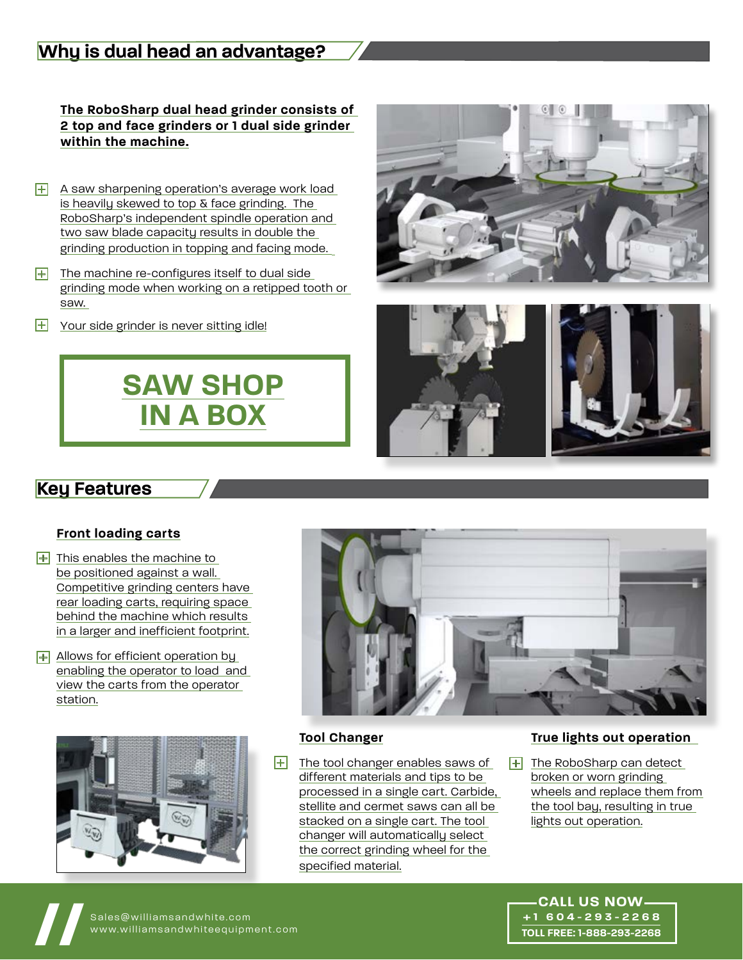## **Why is dual head an advantage?**

**The RoboSharp dual head grinder consists of 2 top and face grinders or 1 dual side grinder within the machine.**

- + A saw sharpening operation's average work load is heavily skewed to top & face grinding. The RoboSharp's independent spindle operation and two saw blade capacity results in double the grinding production in topping and facing mode.
- The machine re-configures itself to dual side grinding mode when working on a retipped tooth or saw.  $\mathbf{H}$
- Your side grinder is never sitting idle!  $\mathbb H$







### **Key Features**

#### **Front loading carts**

- $+$  This enables the machine to be positioned against a wall. Competitive grinding centers have rear loading carts, requiring space behind the machine which results in a larger and inefficient footprint.
- + Allows for efficient operation by enabling the operator to load and view the carts from the operator station.





#### **Tool Changer**

 $+$  The tool changer enables saws of  $+$ different materials and tips to be processed in a single cart. Carbide, stellite and cermet saws can all be stacked on a single cart. The tool changer will automatically select the correct grinding wheel for the specified material.

#### **True lights out operation**

 $\boxed{+}$  The RoboSharp can detect broken or worn grinding wheels and replace them from the tool bay, resulting in true lights out operation.

Sales@williamsandwhite.com<br>www.williamsandwhiteequipment.com

www.williamsandwhiteequipment.com **// CALL US NOW +1 604-293-2268 TOLL FREE: 1-888-293-2268**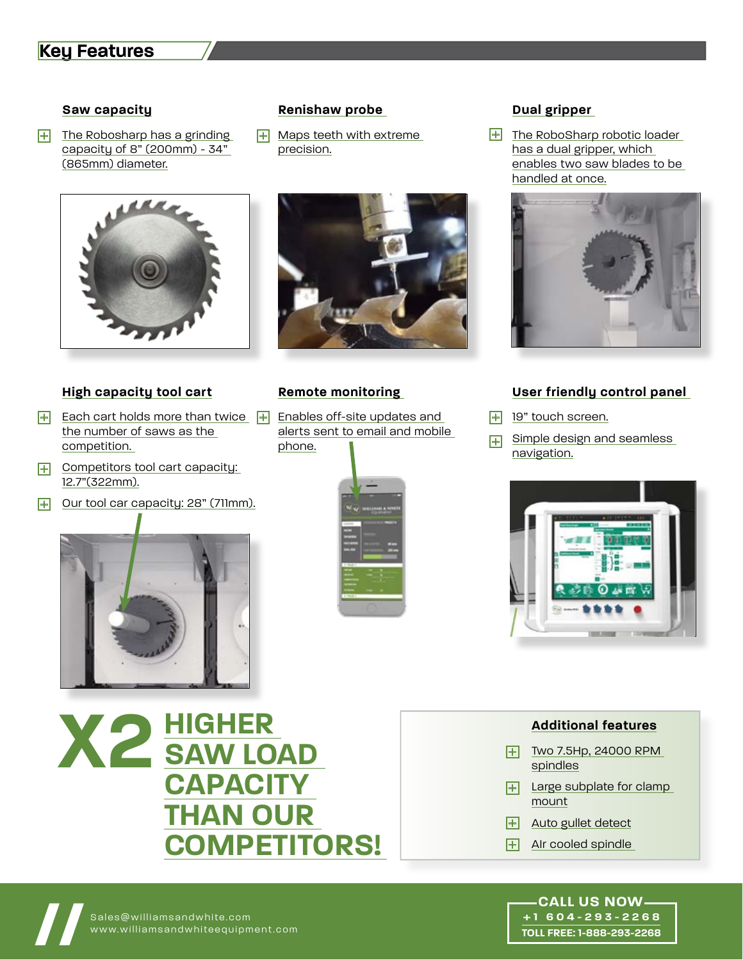## **Key Features**

#### **Saw capacity**

 $\overline{+}\overline{ }$  The Robosharp has a grinding  $\overline{+}\overline{ }$  Maps teeth with extreme  $\overline{+}$ capacity of 8" (200mm) - 34" (865mm) diameter.



#### **High capacity tool cart**

- $\overline{+}$  Each cart holds more than twice  $\overline{+}$  Enables off-site updates and  $\overline{+}$ the number of saws as the competition.
- + Competitors tool cart capacity: 12.7"(322mm).
- Our tool car capacity: 28" (711mm).  $\mathbf{H}$



#### **Renishaw probe**

 $H$  Maps teeth with extreme precision.



#### **Remote monitoring**

alerts sent to email and mobile phone.



#### **Dual gripper**

 $\overline{+}$  The RoboSharp robotic loader has a dual gripper, which enables two saw blades to be handled at once.



#### **User friendly control panel**

- **19"** touch screen.
- Simple design and seamless navigation.  $\mathbf{H}$



## **HIGHER SAW LOAD CAPACITY THAN OUR COMPETITORS! X2**

- **Additional features**
- $+$  Two 7.5Hp, 24000 RPM spindles
- Large subplate for clamp mount  $\boxplus$  .
- Auto gullet detect  $|+|$
- AIr cooled spindle  $\mathbf{H}$

## www.williamsandwhiteequipment.com **// CALL US NOW +1 604-293-2268 TOLL FREE: 1-888-293-2268**

Sales@williamsandwhite.com<br>www.williamsandwhiteequipment.com